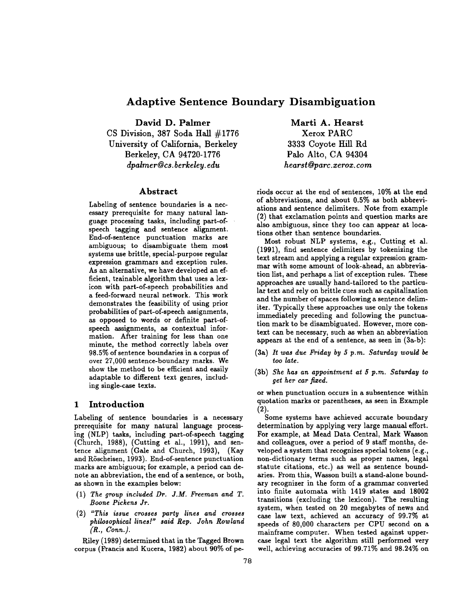# **Adaptive Sentence Boundary Disambiguation**

**David D. Palmer**  CS Division, 387 Soda Hall #1776 University of California, Berkeley Berkeley, CA 94720-1776 *dpalmer@ cs. berkeley, edu* 

# **Abstract**

Labeling of sentence boundaries is a necessary prerequisite for many natural language processing tasks, including part-ofspeech tagging and sentence alignment. End-of-sentence punctuation marks are ambiguous; to disambiguate them most systems use brittle, special-purpose regular expression grammars and exception rules. As an alternative, we have developed an efficient, trainable algorithm that uses a lexicon with part-of-speech probabilities and a feed-forward neural network. This work demonstrates the feasibility of using prior probabilities of part-of-speech assignments, as opposed to words or definite part-ofspeech assignments, as contextual information. After training for less than one minute, the method correctly labels over 98.5% of sentence boundaries in a corpus of over 27,000 sentence-boundary marks. We show the method to be efficient and easily adaptable to different text genres, including single-case texts.

# 1 Introduction

Labeling of sentence boundaries is a necessary prerequisite for many natural language processing (NLP) tasks, including part-of-speech tagging (Church, 1988), (Cutting et al., 1991), and sentence alignment (Gale and Church, 1993), (Kay and Röscheisen, 1993). End-of-sentence punctuation marks are ambiguous; for example, a period can denote an abbreviation, the end of a sentence, or both, as shown in the examples below:

- (1) *The group included Dr. J.M. Freeman and T. Boone Pickens Jr.*
- (2) *"This issue crosses party lines and crosses philosophical lines!" said Rep. John Rowland (R., Conn.).*

Riley (1989) determined that in the Tagged Brown corpus (Francis and Kucera, 1982) about 90% of pe-

**Marti A.** Hearst Xerox PARC 3333 Coyote Hill Rd Palo Alto, CA 94304 *hearst @parc.xeroz. corn* 

riods occur at the end of sentences, 10% at the end of abbreviations, and about 0.5% as both abbreviations and sentence delimiters. Note from example (2) that exclamation points and question marks are also ambiguous, since they too can appear at locations other than sentence boundaries.

Most robust NLP systems, e.g., Cutting et al. (1991), find sentence delimiters by tokenizing the text stream and applying a regular expression grammar with some amount of look-ahead, an abbreviation list, and perhaps a list of exception rules. These approaches are usually hand-tailored to the particular text and rely on brittle cues such as capitalization and the number of spaces following a sentence delimiter. Typically these approaches use only the tokens immediately preceding and following the punctuation mark to be disambiguated. However, more context can be necessary, such as when an abbreviation appears at the end of a sentence, as seen in (3a-b):

- (3a) *It was due Friday by 5 p.m. Saturday would be too late.*
- (3b) *She has an appointment at 5 p.m. Saturday to get her car fired.*

or when punctuation occurs in a subsentence within quotation marks or parentheses, as seen in Example **(2).** 

Some systems have achieved accurate boundary determination by applying very large manual effort. For example, at Mead Data Central, Mark Wasson and colleagues, over a period of 9 staff months, developed a system that recognizes special tokens (e.g., non-dictionary terms such as proper names, legal statute citations, etc.) as well as sentence boundaries. From this, Wasson built a stand-alone boundary recognizer in the form of a grammar converted into finite automata with 1419 states and 18002 transitions (excluding the lexicon). The resulting system, when tested on 20 megabytes of news and case law text, achieved an accuracy of 99.7% at speeds of 80,000 characters per CPU second on a mainframe computer. When tested against uppercase legal text the algorithm still performed very well, achieving accuracies of 99.71% and 98.24% on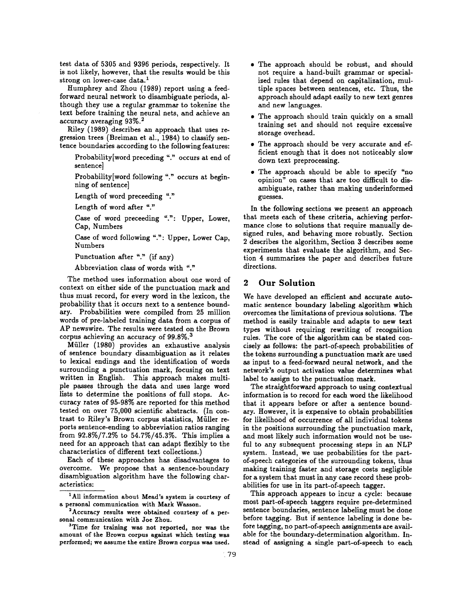test data of 5305 and 9396 periods, respectively. It is not likely, however, that the results would be this strong on lower-case data.<sup>1</sup>

Humphrey and Zhou (1989) report using a feedforward neural network to disambiguate periods, although they use a regular grammar to tokenize the text before training the neural nets, and achieve an accuracy averaging  $93\%$ <sup>2</sup>

Riley (1989) describes an approach that uses regression trees (Breiman et al., 1984) to classify sentence boundaries according to the following features:

Probability[word preceding "." occurs at end of sentence]

Probability[word following "." occurs at beginning of sentence]

Length of word preceeding "."

Length of word after "."

Case of word preceeding ".": Upper, Lower, Cap, Numbers

Case of word following ".': Upper, Lower Cap, Numbers

Punctuation after "." (if any)

Abbreviation class of words with "."

The method uses information about one word of context on either side of the punctuation mark and thus must record, for every word in the lexicon, the probability that it occurs next to a sentence boundary. Probabilities were compiled from 25 million words of pre-labeled training data from a corpus of AP newswire. The results were tested on the Brown corpus achieving an accuracy of 99.8%. 3

Miiller (1980) provides an exhaustive analysis of sentence boundary disambiguation as it relates to lexical endings and the identification of words surrounding a punctuation mark, focusing on text written in English. This approach makes multiple passes through the data and uses large word lists to determine the positions of full stops. Accuracy rates of 95-98% are reported for this method tested on over 75,000 scientific abstracts. (In contrast to Riley's Brown corpus statistics, Müller reports sentence-ending to abbreviation ratios ranging from 92.8%/7.2% to 54.7%/45.3%. This implies a need for an approach that can adapt flexibly to the characteristics of different text collections.)

Each of these approaches has disadvantages to overcome. We propose that a sentence-boundary disambiguation algorithm have the following characteristics:

- The approach should be robust, and should not require a hand-built grammar or specialized rules that depend on capitalization, multiple spaces between sentences, etc. Thus, the approach should adapt easily to new text genres and new languages.
- The approach should train quickly on a small training set and should not require excessive storage overhead.
- The approach should be very accurate and efficient enough that it does not noticeably slow down text preprocessing.
- The approach should be able to specify "no opinion" on cases that are too difficult to disambiguate, rather than making underinformed guesses.

In the following sections we present an approach that meets each of these criteria, achieving performance close to solutions that require manually designed rules, and behaving more robustly. Section 2 describes the algorithm, Section 3 describes some experiments that evaluate the algorithm, and Section 4 summarizes the paper and describes future directions.

# 2 Our Solution

We have developed an efficient and accurate automatic sentence boundary labeling algorithm which overcomes the limitations of previous solutions. The method is easily trainable and adapts to new text types without requiring rewriting of recognition rules. The core of the algorithm can be stated concisely as follows: the part-of-speech probabilities of the tokens surrounding a punctuation mark are used as input to a feed-forward neural network, and the network's output activation value determines what label to assign to the punctuation mark.

The straightforward approach to using contextual information is to record for each word the likelihood that it appears before or after a sentence boundary. However, it is expensive to obtain probabilities for likelihood of occurrence of all individual tokens in the positions surrounding the punctuation mark, and most likely such information would not be useful to any subsequent processing steps in an NLP system. Instead, we use probabilities for the partof-speech categories of the surrounding tokens, thus making training faster and storage costs negligible for a system that must in any case record these probabilities for use in its part-of-speech tagger.

This approach appears to incur a cycle: because most part-of-speech taggers require pre-determined sentence boundaries, sentence labeling must be done before tagging. But if sentence labeling is done before tagging, no part-of-speech assignments are available for the boundary-determination algorithm. Instead of assigning a single part-of-speech to each

<sup>&</sup>lt;sup>1</sup>All information about Mead's system is courtesy of a personal communication with Mark Wasson.

<sup>2</sup>Accuracy results were obtained courtesy of a personal communication with Joe Zhou.

<sup>&</sup>lt;sup>3</sup>Time for training was not reported, nor was the amount of the Brown corpus against which testing was performed; we assume the entire Brown corpus was used.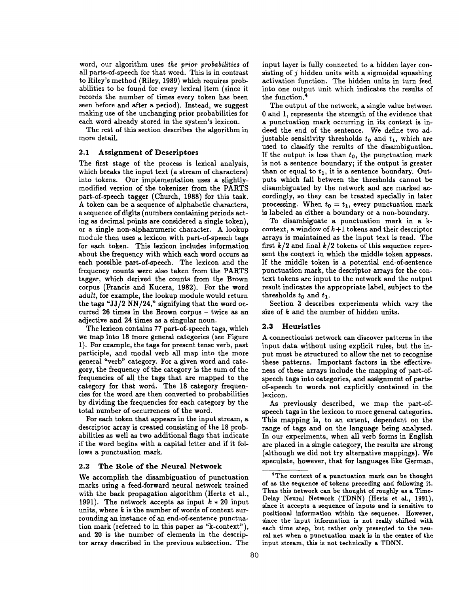word, our algorithm uses *~he prior probabilities* of all parts-of-speech for that word. This is in contrast to Riley's method (Riley, 1989) which requires probabilities to be found for every lexical item (since it records the number of times every token has been seen before and after a period). Instead, we suggest making use of the unchanging prior probabilities for each word already stored in the system's lexicon.

The rest of this section describes the algorithm in more detail.

#### **2.1 Assignment of Descriptors**

The first stage of the process is lexical analysis, which breaks the input text (a stream of characters) into tokens. Our implementation uses a slightlymodified version of the tokenizer from the PARTS part-of-speech tagger (Church, 1988) for this task. A token can be a sequence of alphabetic characters, a sequence of digits (numbers containing periods acting as decimal points are considered a single token), or a single non-alphanumeric character. A lookup module then uses a lexicon with part-of-speech tags for each token. This lexicon includes information about the frequency with which each word occurs as each possible part-of-speech. The lexicon and the frequency counts were also taken from the PARTS tagger, which derived the counts from the Brown corpus (Francis and Kucera, 1982). For the word *adult,* for example, the lookup module would return the tags "JJ/2 NN/24," signifying that the word occurred 26 times in the Brown corpus - twice as an adjective and 24 times as a singular noun.

The lexicon contains 77 part-of-speech tags, which we map into 18 more general categories (see Figure 1). For example, the tags for present tense verb, past participle, and modal verb all map into the more general "verb" category. For a given word and category, the frequency of the category is the sum of the frequencies of all the tags that are mapped to the category for that word. The 18 category frequencies for the word are then converted to probabilities by dividing the frequencies for each category by the total number of occurrences of the word.

For each token that appears in the input stream, a descriptor array is created consisting of the 18 probabilities as well as two additional flags that indicate if the word begins with a capital letter and if it follows a punctuation mark.

#### **2.2 The** Role of the Neural Network

We accomplish the disambiguation of punctuation marks using a feed-forward neural network trained with the back propagation algorithm (Hertz et al., 1991). The network accepts as input  $k * 20$  input units, where  $k$  is the number of words of context surrounding an instance of an end-of-sentence punctuation mark (referred to in this paper as "k-context"), **and** 20 is the number of elements in the descriptor array described in the previous subsection. The

input layer is fully connected to a hidden layer consisting of j hidden units with a sigmoidal squashing activation function. The hidden units in turn feed into one output unit which indicates the results of the function. 4

The output of the network, a single value between 0 and 1, represents the strength of the evidence that a punctuation mark occurring in its context is indeed the end of the sentence. We define two adjustable sensitivity thresholds  $t_0$  and  $t_1$ , which are used to classify the results of the disambiguation. If the output is less than  $t_0$ , the punctuation mark is not a sentence boundary; if the output is greater than or equal to  $t_1$ , it is a sentence boundary. Outputs which fall between the thresholds cannot be disambiguated by the network and are marked accordingly, so they can be treated specially in later processing. When  $t_0 = t_1$ , every punctuation mark is labeled as either a boundary or a non-boundary.

To disambiguate a punctuation mark in a kcontext, a window of  $k+1$  tokens and their descriptor arrays is maintained as the input text is read. The first  $k/2$  and final  $k/2$  tokens of this sequence represent the context in which the middle token appears. If the middle token is a potential end-of-sentence punctuation mark, the descriptor arrays for the context tokens are input to the network and the output result indicates the appropriate label, subject to the thresholds  $t_0$  and  $t_1$ .

Section 3 describes experiments which vary the size of k and the number of hidden units.

#### **2.3 Heuristics**

A connectionist network can discover patterns in the input data without using explicit rules, but the input must be structured to allow the net to recognize these patterns. Important factors in the effectiveness of these arrays include the mapping of part-ofspeech tags into categories, and assignment of partsof-speech to words not explicitly contained in the lexicon.

As previously described, we map the part-ofspeech tags in the lexicon to more general categories. This mapping is, to an extent, dependent on the range of tags and on the language being analyzed. In our experiments, when all verb forms in English are placed in a single category, the results are strong (although we did not try alternative mappings). We speculate, however, that for languages like German,

<sup>4</sup>The context of a punctuation mark can be **thought**  of as **the sequence** of tokens preceding and following it. Thus this network can be thought of roughly as a Time-Delay Neural Network (TDNN) (Hertz et al., 1991), since it accepts **a sequence of inputs and is sensitive to**  positional information within the sequence. However, since the input information is not really shifted with each time step, but rather **only presented to the** neural net when a punctuation mark is in the center of **the**  input stream, this is not technically a TDNN.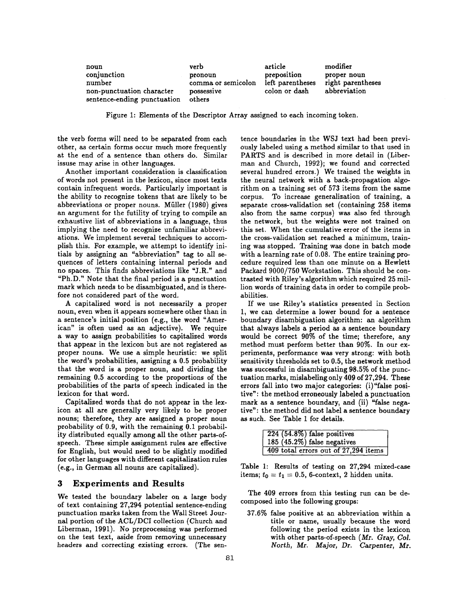| noun                        | verb               | article          | modifier          |
|-----------------------------|--------------------|------------------|-------------------|
| conjunction                 | pronoun            | preposition      | proper noun       |
| number                      | comma or semicolon | left parentheses | right parentheses |
| non-punctuation character   | possessive         | colon or dash    | abbreviation      |
| sentence-ending punctuation | others             |                  |                   |

Figure 1: Elements of the Descriptor Array assigned to each incoming token.

the verb forms will need to be separated from each other, as certain forms occur much more frequently at the end of a sentence than others do. Similar issuse may arise in other languages.

Another important consideration is classification of words not present in the lexicon, since most texts contain infrequent words. Particularly important is the ability to recognize tokens that are likely to be abbreviations or proper nouns. Müller (1980) gives an argument for the futility of trying to compile an exhaustive list of abbreviations in a language, thus implying the need to recognize unfamiliar abbreviations. We implement several techniques to accomplish this. For example, we attempt to identify initials by assigning an "abbreviation" tag to all sequences of letters containing internal periods and no spaces. This finds abbreviations like "J.R." and "Ph.D." Note that the final period is a punctuation mark which needs to be disambiguated, and is therefore not considered part of the word.

A capitalized word is not necessarily a proper noun, even when it appears somewhere other than in a sentence's initial position (e.g., the word "American" is often used as an adjective). We require a way to assign probabilities to capitalized words that appear in the lexicon but are not registered as proper nouns. We use a simple heuristic: we split the word's probabilities, assigning a 0.5 probability that the word is a proper noun, and dividing the remaining 0.5 according to the proportions of the probabilities of the parts of speech indicated in the lexicon for that word.

Capitalized words that do not appear in the lexicon at all are generally very likely to be proper nouns; therefore, they are assigned a proper noun probability of 0.9, with the remaining 0.1 probability distributed equally among all the other parts-ofspeech. These simple assignment rules are effective for English, but would need to be slightly modified for other languages with different capitalization rules (e.g., in German all nouns are capitalized).

### **3 Experiments and Results**

We tested the boundary labeler on a large body of text containing 27,294 potential sentence-ending punctuation marks taken from the Wall Street Journal portion of the ACL/DCI collection (Church and Liberman, 1991). No preprocessing was performed on the test text, aside from removing unnecessary headers and correcting existing errors. (The sentence boundaries in the WSJ text had been previously labeled using a method similar to that used in PARTS and is described in more detail in (Liberman and Church, 1992); we found and corrected several hundred errors.) We trained the weights in the neural network with a back-propagation algorithm on a training set of 573 items from the same corpus. To increase generalization of training, a separate cross-validation set (containing 258 items also from the same corpus) was also fed through the network, but the weights were not trained on this set. When the cumulative error of the items in the cross-validation set reached a minimum, training was stopped. Training was done in batch mode with a learning rate of 0.08. The entire training procedure required less than one minute on a Hewlett Packard 9000/750 Workstation. This should be contrasted with Riley's algorithm which required 25 million words of training data in order to compile probabilities.

If we use Riley's statistics presented in Section 1, we can determine a lower bound for a sentence boundary disambiguation algorithm: an algorithm that always labels a period as a sentence boundary would be correct 90% of the time; therefore, any method must perform better than 90%. In our experiments, performance was very strong: with both sensitivity thresholds set to 0.5, the network method was successful in disambiguating 98.5% of the punctuation marks, mislabeling only 409 of 27,294. These errors fall into two major categories: (i)"false positive": the method erroneously labeled a punctuation mark as a sentence boundary, and (ii) "false negative": the method did not label a sentence boundary as such. See Table 1 for details.

|                                      | $\sqrt{224 (54.8\%)}$ false positives |  |  |
|--------------------------------------|---------------------------------------|--|--|
|                                      | 185 $(45.2\%)$ false negatives        |  |  |
| 409 total errors out of 27,294 items |                                       |  |  |

Table 1: Results of testing on 27,294 mixed-case items;  $t_0 = t_1 = 0.5$ , 6-context, 2 hidden units.

The 409 errors from this testing run can be decomposed into the following groups:

37.6% false positive at an abbreviation within a title or name, usually because the word following the period exists in the lexicon with other parts-of-speech (Mr. Gray, *Col. North, Mr. Major, Dr. Carpenter, Mr.*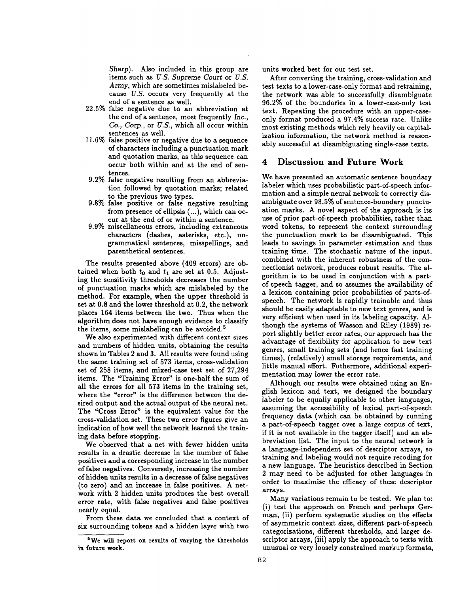Sharp). Also included in this group are items such as *U.S. Supreme Court* or *U.S. Army,* which are sometimes mislabeled because *U.S.* occurs very frequently at the end of a sentence as well.

- 22.5% false negative due to an abbreviation at the end of a sentence, most frequently *Inc., Co., Corp.,* or *U.S.,* which all occur within sentences as well.
- 11.0% false positive or negative due to a sequence of characters including a punctuation mark and quotation marks, as this sequence can occur both within and at the end of sentences.
- 9.2% false negative resulting from an abbreviation followed by quotation marks; related to the previous two types.
- 9.8% false positive or false negative resulting from presence of ellipsis (...), which can occur at the end of or within a sentence.
- 9.9% miscellaneous errors, including extraneous characters (dashes, asterisks, etc.), ungrammatical sentences, misspellings, and parenthetical sentences.

The results presented above (409 errors) are obtained when both  $t_0$  and  $t_1$  are set at 0.5. Adjusting the sensitivity thresholds decreases the number of punctuation marks which are mislabeled by the method. For example, when the upper threshold is set at 0.8 and the lower threshold at 0.2, the network places 164 items between the two. Thus when the algorithm does not have enough evidence to classify the items, some mislabeling can be avoided.<sup>5</sup>

We also experimented with different context sizes and numbers of hidden units, obtaining the results shown in Tables 2 and 3. All results were found using the same training set of 573 items, cross-validation set of 258 items, and mixed-case test set of 27,294 items. The "Training Error" is one-half the sum of all the errors for all 573 items in the training set, where the "error" is the difference between the desired output and the actual output of the neural net. The "Cross Error" is the equivalent value for the cross-validation set. These two error figures give an indication of how well the network learned the training data before stopping.

We observed that a net with fewer hidden units results in a drastic decrease in the number of false positives and a corresponding increase in the number of false negatives. Conversely, increasing the number of hidden units results in a decrease of false negatives (to zero) and an increase in false positives. A network with 2 hidden units produces the best overall error rate, with false negatives and false positives nearly equal.

From these data we concluded that a context of six surrounding tokens and a hidden layer with two

units worked best for our test set.

After converting the training, cross-validation and test texts to a lower-case-only format and retraining, the network was able to successfully disambiguate 96.2% of the boundaries in a lower-case-only test text. Repeating the procedure with an upper-caseonly format produced a 97.4% success rate. Unlike most existing methods which rely heavily on capitalization information, the network method is reasonably successful at disambiguating single-case texts.

# 4 Discussion and Future Work

We have presented an automatic sentence boundary labeler which uses probabilistic part-of-speech information and a simple neural network to correctly disambiguate over 98.5% of sentence-boundary punctuation marks. A novel aspect of the approach is its use of prior part-of-speech probabilities, rather than word tokens, to represent the context surrounding the punctuation mark to be disambiguated. This leads to savings in parameter estimation and thus training time. The stochastic nature of the input, combined with the inherent robustness of the connectionist network, produces robust results. The algorithm is to be used in conjunction with a partof-speech tagger, and so assumes the availability of a lexicon containing prior probabilities of parts-ofspeech. The network is rapidly trainable and thus should be easily adaptable to new text genres, and is very efficient when used in its labeling capacity. Although the systems of Wasson and Riley (1989) report slightly better error rates, our approach has the advantage of flexibility for application to new text genres, small training sets (and hence fast training times), (relatively) small storage requirements, and little manual effort. Futhermore, additional experimentation may lower the error rate.

Although our results were obtained using an English lexicon and text, we designed the boundary labeler to be equally applicable to other languages, assuming the accessibility of lexical part-of-speech frequency data (which can be obtained by running a part-of-speech tagger over a large corpus of text, if it is not available in the tagger itself) and an abbreviation list. The input to the neural network is a language-independent set of descriptor arrays, so training and labeling would not require recoding for a new language. The heuristics described in Section 2 may need to be adjusted for other languages in order to maximize the efficacy of these descriptor arrays.

Many variations remain to be tested. We plan to: (i) test the approach on French and perhaps German, (ii) perform systematic studies on the effects of asymmetric context sizes, different part-of-speech categorizations, different thresholds, and larger descriptor arrays, (iii) apply the approach to texts with unusual or very loosely constrained markup formats,

<sup>5</sup>We will report **on results of varying** the thresholds in future work.